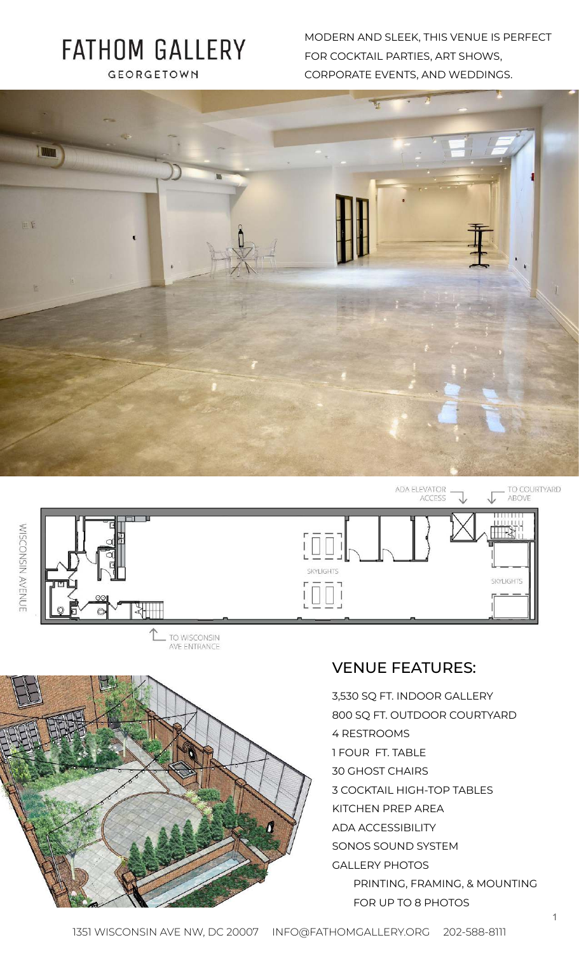# **FATHOM GALLERY** GEORGETOWN

MODERN AND SLEEK, THIS VENUE IS PERFECT FOR COCKTAIL PARTIES, ART SHOWS, CORPORATE EVENTS, AND WEDDINGS.







WISCONSIN AVENUE

## VENUE FEATURES:

3,530 SQ FT. INDOOR GALLERY 800 SQ FT. OUTDOOR COURTYARD 4 RESTROOMS 1 FOUR FT. TABLE 30 GHOST CHAIRS 3 COCKTAIL HIGH-TOP TABLES KITCHEN PREP AREA ADA ACCESSIBILITY SONOS SOUND SYSTEM GALLERY PHOTOS PRINTING, FRAMING, & MOUNTING FOR UP TO 8 PHOTOS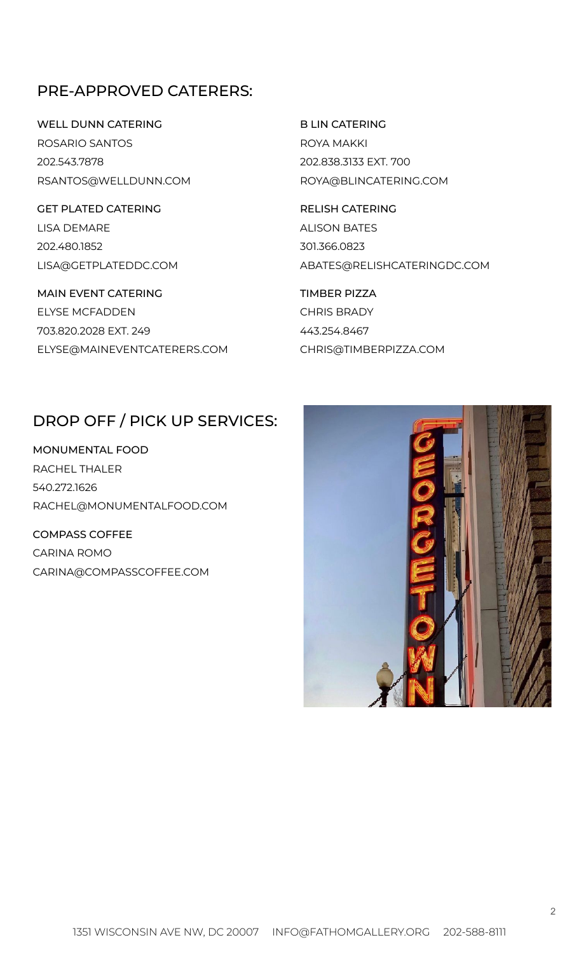### PRE-APPROVED CATERERS:

WELL DUNN CATERING ROSARIO SANTOS 202.543.7878 RSANTOS@WELLDUNN.COM

GET PLATED CATERING LISA DEMARE 202.480.1852 LISA@GETPLATEDDC.COM

MAIN EVENT CATERING ELYSE MCFADDEN 703.820.2028 EXT. 249 ELYSE@MAINEVENTCATERERS.COM B LIN CATERING ROYA MAKKI 202.838.3133 EXT. 700 ROYA@BLINCATERING.COM

RELISH CATERING ALISON BATES 301.366.0823 ABATES@RELISHCATERINGDC.COM

TIMBER PIZZA CHRIS BRADY 443.254.8467 CHRIS@TIMBERPIZZA.COM

#### DROP OFF / PICK UP SERVICES:

MONUMENTAL FOOD RACHEL THALER 540.272.1626 RACHEL@MONUMENTALFOOD.COM

COMPASS COFFEE CARINA ROMO CARINA@COMPASSCOFFEE.COM